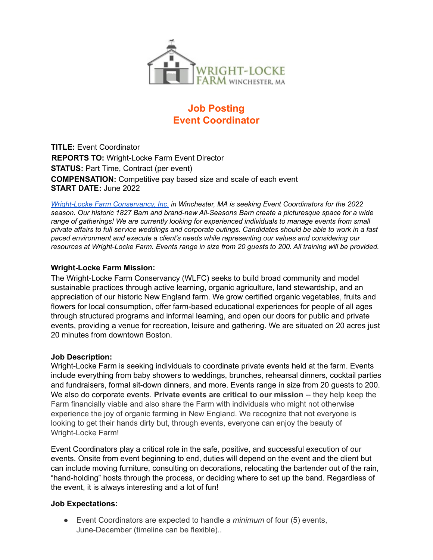

# **Job Posting Event Coordinator**

**TITLE:** Event Coordinator **REPORTS TO:** Wright-Locke Farm Event Director **STATUS: Part Time, Contract (per event) COMPENSATION:** Competitive pay based size and scale of each event **START DATE:** June 2022

*Wright-Locke Farm Conservancy, Inc. in Winchester, MA is seeking Event Coordinators for the 2022 season. Our historic 1827 Barn and brand-new All-Seasons Barn create a picturesque space for a wide range of gatherings! We are currently looking for experienced individuals to manage events from small* private affairs to full service weddings and corporate outings. Candidates should be able to work in a fast *paced environment and execute a client's needs while representing our values and considering our* resources at Wright-Locke Farm. Events range in size from 20 quests to 200. All training will be provided.

#### **Wright-Locke Farm Mission:**

The Wright-Locke Farm Conservancy (WLFC) seeks to build broad community and model sustainable practices through active learning, organic agriculture, land stewardship, and an appreciation of our historic New England farm. We grow certified organic vegetables, fruits and flowers for local consumption, offer farm-based educational experiences for people of all ages through structured programs and informal learning, and open our doors for public and private events, providing a venue for recreation, leisure and gathering. We are situated on 20 acres just 20 minutes from downtown Boston.

#### **Job Description:**

Wright-Locke Farm is seeking individuals to coordinate private events held at the farm. Events include everything from baby showers to weddings, brunches, rehearsal dinners, cocktail parties and fundraisers, formal sit-down dinners, and more. Events range in size from 20 guests to 200. We also do corporate events. **Private events are critical to our mission** -- they help keep the Farm financially viable and also share the Farm with individuals who might not otherwise experience the joy of organic farming in New England. We recognize that not everyone is looking to get their hands dirty but, through events, everyone can enjoy the beauty of Wright-Locke Farm!

Event Coordinators play a critical role in the safe, positive, and successful execution of our events. Onsite from event beginning to end, duties will depend on the event and the client but can include moving furniture, consulting on decorations, relocating the bartender out of the rain, "hand-holding" hosts through the process, or deciding where to set up the band. Regardless of the event, it is always interesting and a lot of fun!

#### **Job Expectations:**

● Event Coordinators are expected to handle a *minimum* of four (5) events, June-December (timeline can be flexible)..